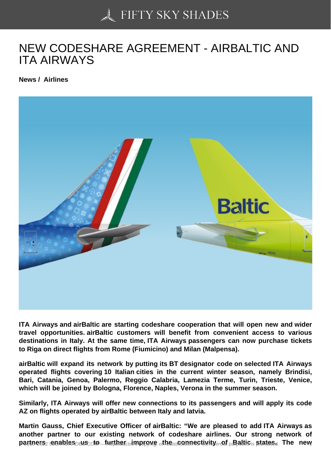## [NEW CODESHARE AG](https://50skyshades.com)REEMENT - AIRBALTIC AND ITA AIRWAYS

News / Airlines

ITA Airways and airBaltic are starting codeshare cooperation that will open new and wider travel opportunities. airBaltic customers will benefit from convenient access to various destinations in Italy. At the same time, ITA Airways passengers can now purchase tickets to Riga on direct flights from Rome (Fiumicino) and Milan (Malpensa).

airBaltic will expand its network by putting its BT designator code on selected ITA Airways operated flights covering 10 Italian cities in the current winter season, namely Brindisi, Bari, Catania, Genoa, Palermo, Reggio Calabria, Lamezia Terme, Turin, Trieste, Venice, which will be joined by Bologna, Florence, Naples, Verona in the summer season.

Similarly, ITA Airways will offer new connections to its passengers and will apply its code AZ on flights operated by airBaltic between Italy and latvia.

Martin Gauss, Chief Executive Officer of airBaltic: "We are pleased to add ITA Airways as another partner to our existing network of codeshare airlines. Our strong network of  $p$ artners  $p$  enables  $p$ us to  $p$  further  $q$  improve  $q$  in the repannectivity  $q$  or  $p$  and  $q$  and  $q$  and  $q$